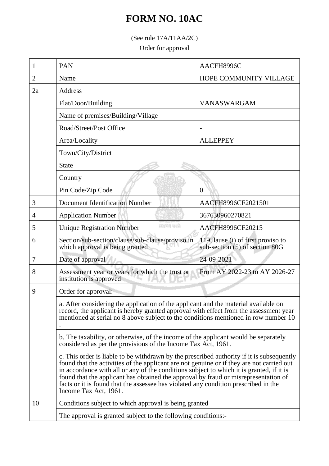## **FORM NO. 10AC**

(See rule 17A/11AA/2C)

Order for approval

| 1  | PAN                                                                                                                                                                                                                                                                                                                                                                                                                                                                                                                                                                                                                                                                                                                                                                                                                                                                                                                                             | AACFH8996C                                                          |  |
|----|-------------------------------------------------------------------------------------------------------------------------------------------------------------------------------------------------------------------------------------------------------------------------------------------------------------------------------------------------------------------------------------------------------------------------------------------------------------------------------------------------------------------------------------------------------------------------------------------------------------------------------------------------------------------------------------------------------------------------------------------------------------------------------------------------------------------------------------------------------------------------------------------------------------------------------------------------|---------------------------------------------------------------------|--|
| 2  | Name                                                                                                                                                                                                                                                                                                                                                                                                                                                                                                                                                                                                                                                                                                                                                                                                                                                                                                                                            | HOPE COMMUNITY VILLAGE                                              |  |
| 2a | Address                                                                                                                                                                                                                                                                                                                                                                                                                                                                                                                                                                                                                                                                                                                                                                                                                                                                                                                                         |                                                                     |  |
|    | Flat/Door/Building                                                                                                                                                                                                                                                                                                                                                                                                                                                                                                                                                                                                                                                                                                                                                                                                                                                                                                                              | <b>VANASWARGAM</b>                                                  |  |
|    | Name of premises/Building/Village                                                                                                                                                                                                                                                                                                                                                                                                                                                                                                                                                                                                                                                                                                                                                                                                                                                                                                               |                                                                     |  |
|    | Road/Street/Post Office                                                                                                                                                                                                                                                                                                                                                                                                                                                                                                                                                                                                                                                                                                                                                                                                                                                                                                                         |                                                                     |  |
|    | Area/Locality                                                                                                                                                                                                                                                                                                                                                                                                                                                                                                                                                                                                                                                                                                                                                                                                                                                                                                                                   | <b>ALLEPPEY</b>                                                     |  |
|    | Town/City/District                                                                                                                                                                                                                                                                                                                                                                                                                                                                                                                                                                                                                                                                                                                                                                                                                                                                                                                              |                                                                     |  |
|    | <b>State</b>                                                                                                                                                                                                                                                                                                                                                                                                                                                                                                                                                                                                                                                                                                                                                                                                                                                                                                                                    |                                                                     |  |
|    | Country                                                                                                                                                                                                                                                                                                                                                                                                                                                                                                                                                                                                                                                                                                                                                                                                                                                                                                                                         |                                                                     |  |
|    | Pin Code/Zip Code                                                                                                                                                                                                                                                                                                                                                                                                                                                                                                                                                                                                                                                                                                                                                                                                                                                                                                                               | $\overline{0}$                                                      |  |
| 3  | <b>Document Identification Number</b>                                                                                                                                                                                                                                                                                                                                                                                                                                                                                                                                                                                                                                                                                                                                                                                                                                                                                                           | AACFH8996CF2021501                                                  |  |
| 4  | <b>Application Number</b>                                                                                                                                                                                                                                                                                                                                                                                                                                                                                                                                                                                                                                                                                                                                                                                                                                                                                                                       | 367630960270821                                                     |  |
| 5  | सम्बद्धानम् अस्पतिः<br><b>Unique Registration Number</b>                                                                                                                                                                                                                                                                                                                                                                                                                                                                                                                                                                                                                                                                                                                                                                                                                                                                                        | AACFH8996CF20215                                                    |  |
| 6  | Section/sub-section/clause/sub-clause/proviso in<br>which approval is being granted                                                                                                                                                                                                                                                                                                                                                                                                                                                                                                                                                                                                                                                                                                                                                                                                                                                             | 11-Clause (i) of first proviso to<br>sub-section (5) of section 80G |  |
| 7  | Date of approval                                                                                                                                                                                                                                                                                                                                                                                                                                                                                                                                                                                                                                                                                                                                                                                                                                                                                                                                | 24-09-2021                                                          |  |
| 8  | Assessment year or years for which the trust or<br>institution is approved                                                                                                                                                                                                                                                                                                                                                                                                                                                                                                                                                                                                                                                                                                                                                                                                                                                                      | From AY 2022-23 to AY 2026-27                                       |  |
| 9  | Order for approval:<br>a. After considering the application of the applicant and the material available on<br>record, the applicant is hereby granted approval with effect from the assessment year<br>mentioned at serial no 8 above subject to the conditions mentioned in row number 10<br>b. The taxability, or otherwise, of the income of the applicant would be separately<br>considered as per the provisions of the Income Tax Act, 1961.<br>c. This order is liable to be withdrawn by the prescribed authority if it is subsequently<br>found that the activities of the applicant are not genuine or if they are not carried out<br>in accordance with all or any of the conditions subject to which it is granted, if it is<br>found that the applicant has obtained the approval by fraud or misrepresentation of<br>facts or it is found that the assessee has violated any condition prescribed in the<br>Income Tax Act, 1961. |                                                                     |  |
|    |                                                                                                                                                                                                                                                                                                                                                                                                                                                                                                                                                                                                                                                                                                                                                                                                                                                                                                                                                 |                                                                     |  |
|    |                                                                                                                                                                                                                                                                                                                                                                                                                                                                                                                                                                                                                                                                                                                                                                                                                                                                                                                                                 |                                                                     |  |
|    |                                                                                                                                                                                                                                                                                                                                                                                                                                                                                                                                                                                                                                                                                                                                                                                                                                                                                                                                                 |                                                                     |  |
| 10 | Conditions subject to which approval is being granted<br>The approval is granted subject to the following conditions:-                                                                                                                                                                                                                                                                                                                                                                                                                                                                                                                                                                                                                                                                                                                                                                                                                          |                                                                     |  |
|    |                                                                                                                                                                                                                                                                                                                                                                                                                                                                                                                                                                                                                                                                                                                                                                                                                                                                                                                                                 |                                                                     |  |